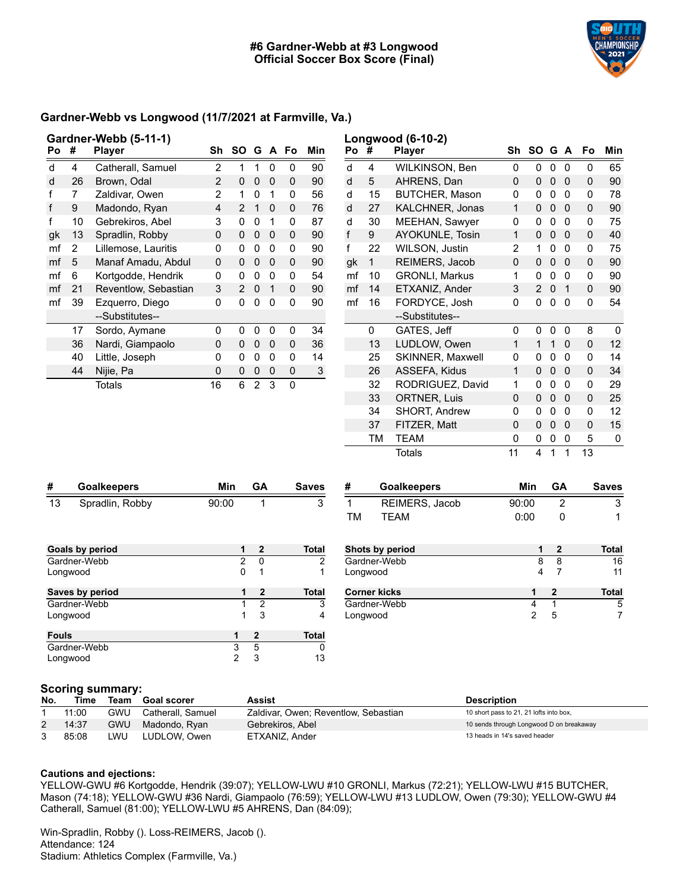

### **Gardner-Webb vs Longwood (11/7/2021 at Farmville, Va.)**

| Po | Gardner-Webb (5-11-1)<br>#<br><b>Player</b> |                      |                |                |                |              | SO G A Fo | Min          | Po #         |                | Longwood (6-10-2)<br><b>Player</b> | Sh             | SO G A         |             |                | Fo           | Min          |
|----|---------------------------------------------|----------------------|----------------|----------------|----------------|--------------|-----------|--------------|--------------|----------------|------------------------------------|----------------|----------------|-------------|----------------|--------------|--------------|
|    |                                             |                      | Sh             |                | 1              |              |           |              |              |                |                                    |                |                |             |                |              |              |
| d  | 4                                           | Catherall, Samuel    | 2              | 1              |                | 0            | 0         | 90           | d            | 4              | WILKINSON, Ben                     | $\mathbf 0$    | 0              | $\mathbf 0$ | 0              | 0            | 65           |
| d  | 26                                          | Brown, Odal          | $\overline{2}$ | 0              | $\mathbf 0$    | $\Omega$     | 0         | 90           | d            | 5              | AHRENS, Dan                        | 0              | 0              | $\mathbf 0$ | $\mathbf{0}$   | $\mathbf 0$  | 90           |
| f  | 7                                           | Zaldivar, Owen       | 2              | 1              | 0              | 1            | 0         | 56           | d            | 15             | <b>BUTCHER, Mason</b>              | 0              | 0              | 0           | $\mathbf{0}$   | 0            | 78           |
| f  | 9                                           | Madondo, Ryan        | 4              | $\overline{2}$ | 1              | $\mathbf{0}$ | $\Omega$  | 76           | d            | 27             | KALCHNER, Jonas                    | 1              | 0              | 0           | $\mathbf{0}$   | $\mathbf 0$  | 90           |
| f  | 10                                          | Gebrekiros, Abel     | 3              | 0              | 0              | 1            | 0         | 87           | d            | 30             | MEEHAN, Sawyer                     | 0              | 0              | 0           | 0              | 0            | 75           |
| gk | 13                                          | Spradlin, Robby      | 0              | $\Omega$       | 0              | 0            | $\Omega$  | 90           | $\mathsf{f}$ | 9              | AYOKUNLE, Tosin                    | 1              | 0              | 0           | $\mathbf{0}$   | $\mathbf 0$  | 40           |
| mf | $\overline{2}$                              | Lillemose, Lauritis  | 0              | 0              | 0              | 0            | 0         | 90           | f            | 22             | WILSON, Justin                     | $\overline{2}$ | 1              | 0           | $\mathbf{0}$   | 0            | 75           |
| mf | 5                                           | Manaf Amadu, Abdul   | 0              | $\Omega$       | 0              | 0            | 0         | 90           | gk           | 1              | REIMERS, Jacob                     | 0              | 0              | 0           | $\mathbf{0}$   | $\mathbf 0$  | 90           |
| mf | 6                                           | Kortgodde, Hendrik   | 0              | 0              | 0              | 0            | $\Omega$  | 54           | mf           | 10             | <b>GRONLI, Markus</b>              | 1              | 0              | 0           | $\mathbf{0}$   | $\mathbf 0$  | 90           |
| mf | 21                                          | Reventlow, Sebastian | 3              | 2              | $\Omega$       | 1            | $\Omega$  | 90           | mf           | 14             | ETXANIZ, Ander                     | 3              | $\overline{2}$ | $\Omega$    | $\mathbf 1$    | $\mathbf{0}$ | 90           |
| mf | 39                                          | Ezquerro, Diego      | 0              | 0              | 0              | 0            | 0         | 90           | mf           | 16             | FORDYCE, Josh                      | 0              | 0              | 0           | $\mathbf{0}$   | 0            | 54           |
|    |                                             | --Substitutes--      |                |                |                |              |           |              |              |                | --Substitutes--                    |                |                |             |                |              |              |
|    | 17                                          | Sordo, Aymane        | 0              | 0              | $\Omega$       | 0            | 0         | 34           |              | 0              | GATES, Jeff                        | 0              | $\Omega$       | 0           | $\Omega$       | 8            | $\mathbf{0}$ |
|    | 36                                          | Nardi, Giampaolo     | 0              | $\mathbf 0$    | $\mathbf 0$    | 0            | 0         | 36           |              | 13             | LUDLOW, Owen                       | 1              | $\mathbf{1}$   | 1           | $\mathbf 0$    | $\mathbf 0$  | 12           |
|    | 40                                          | Little, Joseph       | 0              | 0              | $\Omega$       | $\Omega$     | 0         | 14           |              | 25             | <b>SKINNER, Maxwell</b>            | 0              | 0              | 0           | $\mathbf{0}$   | $\mathbf{0}$ | 14           |
|    | 44                                          | Nijie, Pa            | 0              | $\Omega$       | $\mathbf 0$    | 0            | 0         | 3            |              | 26             | ASSEFA, Kidus                      | 1              | 0              | 0           | $\mathbf 0$    | $\mathbf 0$  | 34           |
|    |                                             | <b>Totals</b>        | 16             | 6              | $\overline{2}$ | 3            | $\Omega$  |              |              | 32             | RODRIGUEZ, David                   | 1              | 0              | 0           | $\Omega$       | 0            | 29           |
|    |                                             |                      |                |                |                |              |           |              |              | 33             | <b>ORTNER, Luis</b>                | 0              | 0              | 0           | $\mathbf{0}$   | $\mathbf 0$  | 25           |
|    |                                             |                      |                |                |                |              |           |              |              | 34             | SHORT, Andrew                      | 0              | 0              | 0           | 0              | $\mathbf 0$  | 12           |
|    |                                             |                      |                |                |                |              |           |              |              | 37             | FITZER, Matt                       | 0              | 0              | 0           | $\mathbf{0}$   | $\mathbf 0$  | 15           |
|    |                                             |                      |                |                |                |              |           |              |              | <b>TM</b>      | <b>TEAM</b>                        | 0              | 0              | 0           | 0              | 5            | 0            |
|    |                                             |                      |                |                |                |              |           |              |              |                | <b>Totals</b>                      | 11             | 4              | 1           | 1              | 13           |              |
| #  | <b>Goalkeepers</b>                          |                      |                | Min            | GA             |              |           | <b>Saves</b> | #            |                | <b>Goalkeepers</b>                 |                | <b>Min</b>     | GA          |                |              | <b>Saves</b> |
| 13 | Spradlin, Robby                             |                      | 90:00          |                |                | 1            |           | 3            | $\mathbf{1}$ | REIMERS, Jacob |                                    | 90:00          |                |             | $\overline{2}$ |              | 3            |

| د ا<br>Spradilli, RODDY | 90.UU |              | د            | REIMERO, JACOD      | 90.UU |              | د            |
|-------------------------|-------|--------------|--------------|---------------------|-------|--------------|--------------|
|                         |       |              |              | TM<br><b>TEAM</b>   | 0:00  | 0            | 1            |
| Goals by period         | 1     | $\mathbf{2}$ | <b>Total</b> | Shots by period     | 1.    | $\mathbf{2}$ | <b>Total</b> |
| Gardner-Webb            | 2     | $\Omega$     | 2            | Gardner-Webb        | 8     | 8            | 16           |
|                         |       |              |              |                     |       |              |              |
| Longwood                | 0     |              |              | Longwood            | 4     |              | 11           |
| Saves by period         | 1     | $\mathbf{2}$ | <b>Total</b> | <b>Corner kicks</b> |       | $\mathbf{2}$ | <b>Total</b> |
| Gardner-Webb            |       | 2            | 3            | Gardner-Webb        | 4     |              | 5            |
| Longwood                |       | 3            | 4            | Longwood            | 2     | 5            |              |
| <b>Fouls</b>            |       | $\mathbf{2}$ | <b>Total</b> |                     |       |              |              |
| Gardner-Webb            | 3     | 5            | 0            |                     |       |              |              |
| Longwood                | 2     | 3            | 13           |                     |       |              |              |
|                         |       |              |              |                     |       |              |              |

# **Scoring summary:**

| No. | Time  | Team | <b>Goal scorer</b> | Assist                               | <b>Description</b>                       |  |  |  |
|-----|-------|------|--------------------|--------------------------------------|------------------------------------------|--|--|--|
|     | 11:00 | GWU  | Catherall, Samuel  | Zaldivar, Owen; Reventlow, Sebastian | 10 short pass to 21, 21 lofts into box,  |  |  |  |
|     | 14:37 | gwu  | Madondo, Ryan      | Gebrekiros, Abel                     | 10 sends through Longwood D on breakaway |  |  |  |
|     | 85:08 | LWU  | LUDLOW, Owen       | ETXANIZ, Ander                       | 13 heads in 14's saved header            |  |  |  |

#### **Cautions and ejections:**

YELLOW-GWU #6 Kortgodde, Hendrik (39:07); YELLOW-LWU #10 GRONLI, Markus (72:21); YELLOW-LWU #15 BUTCHER, Mason (74:18); YELLOW-GWU #36 Nardi, Giampaolo (76:59); YELLOW-LWU #13 LUDLOW, Owen (79:30); YELLOW-GWU #4 Catherall, Samuel (81:00); YELLOW-LWU #5 AHRENS, Dan (84:09);

Win-Spradlin, Robby (). Loss-REIMERS, Jacob (). Attendance: 124 Stadium: Athletics Complex (Farmville, Va.)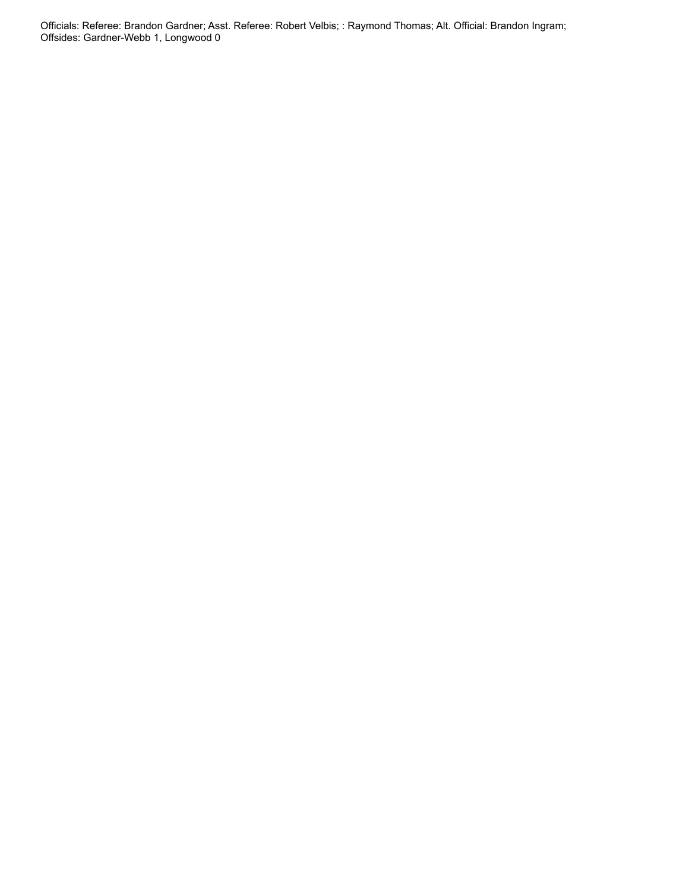Officials: Referee: Brandon Gardner; Asst. Referee: Robert Velbis; : Raymond Thomas; Alt. Official: Brandon Ingram; Offsides: Gardner-Webb 1, Longwood 0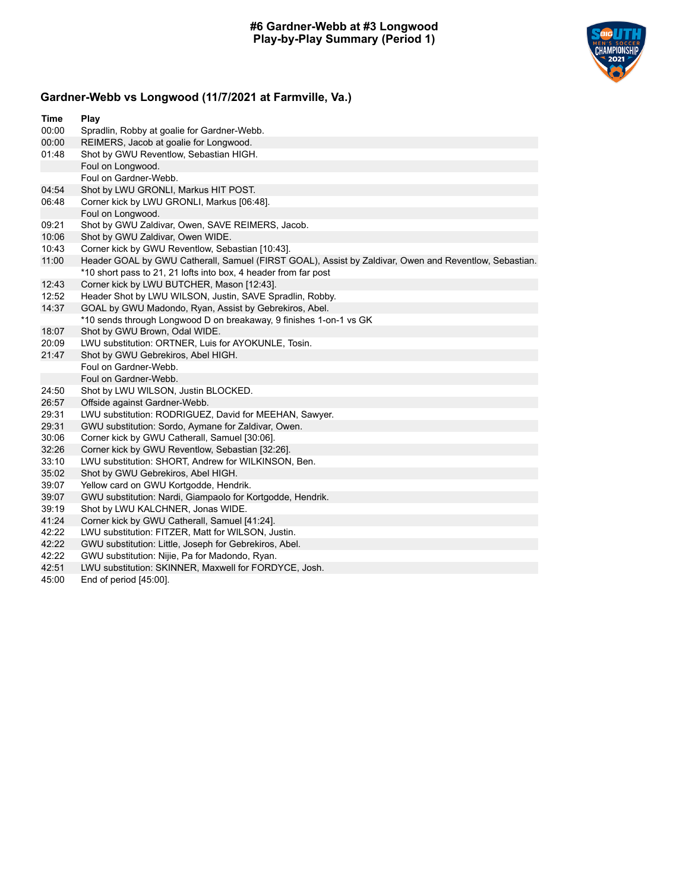

## **Gardner-Webb vs Longwood (11/7/2021 at Farmville, Va.)**

| Time  | Play                                                                                                  |
|-------|-------------------------------------------------------------------------------------------------------|
| 00:00 | Spradlin, Robby at goalie for Gardner-Webb.                                                           |
| 00:00 | REIMERS, Jacob at goalie for Longwood.                                                                |
| 01:48 | Shot by GWU Reventlow, Sebastian HIGH.                                                                |
|       | Foul on Longwood.                                                                                     |
|       | Foul on Gardner-Webb.                                                                                 |
| 04:54 | Shot by LWU GRONLI, Markus HIT POST.                                                                  |
| 06:48 | Corner kick by LWU GRONLI, Markus [06:48].                                                            |
|       | Foul on Longwood.                                                                                     |
| 09:21 | Shot by GWU Zaldivar, Owen, SAVE REIMERS, Jacob.                                                      |
| 10:06 | Shot by GWU Zaldivar, Owen WIDE.                                                                      |
| 10:43 | Corner kick by GWU Reventlow, Sebastian [10:43].                                                      |
| 11:00 | Header GOAL by GWU Catherall, Samuel (FIRST GOAL), Assist by Zaldivar, Owen and Reventlow, Sebastian. |
|       | *10 short pass to 21, 21 lofts into box, 4 header from far post                                       |
| 12:43 | Corner kick by LWU BUTCHER, Mason [12:43].                                                            |
| 12:52 | Header Shot by LWU WILSON, Justin, SAVE Spradlin, Robby.                                              |
| 14:37 | GOAL by GWU Madondo, Ryan, Assist by Gebrekiros, Abel.                                                |
|       | *10 sends through Longwood D on breakaway, 9 finishes 1-on-1 vs GK                                    |
| 18:07 | Shot by GWU Brown, Odal WIDE.                                                                         |
| 20:09 | LWU substitution: ORTNER, Luis for AYOKUNLE, Tosin.                                                   |
| 21:47 | Shot by GWU Gebrekiros, Abel HIGH.                                                                    |
|       | Foul on Gardner-Webb.                                                                                 |
|       | Foul on Gardner-Webb.                                                                                 |
| 24:50 | Shot by LWU WILSON, Justin BLOCKED.                                                                   |
| 26:57 | Offside against Gardner-Webb.                                                                         |
| 29:31 | LWU substitution: RODRIGUEZ, David for MEEHAN, Sawyer.                                                |
| 29:31 | GWU substitution: Sordo, Aymane for Zaldivar, Owen.                                                   |
| 30:06 | Corner kick by GWU Catherall, Samuel [30:06].                                                         |
| 32:26 | Corner kick by GWU Reventlow, Sebastian [32:26].                                                      |
| 33:10 | LWU substitution: SHORT, Andrew for WILKINSON, Ben.                                                   |
| 35:02 | Shot by GWU Gebrekiros, Abel HIGH.                                                                    |
| 39:07 | Yellow card on GWU Kortgodde, Hendrik.                                                                |
| 39:07 | GWU substitution: Nardi, Giampaolo for Kortgodde, Hendrik.                                            |
| 39:19 | Shot by LWU KALCHNER, Jonas WIDE.                                                                     |
| 41:24 | Corner kick by GWU Catherall, Samuel [41:24].                                                         |
| 42:22 | LWU substitution: FITZER, Matt for WILSON, Justin.                                                    |
| 42:22 | GWU substitution: Little, Joseph for Gebrekiros, Abel.                                                |
| 42:22 | GWU substitution: Nijie, Pa for Madondo, Ryan.                                                        |
| 42:51 | LWU substitution: SKINNER, Maxwell for FORDYCE, Josh.                                                 |
| 45:00 | End of period [45:00].                                                                                |